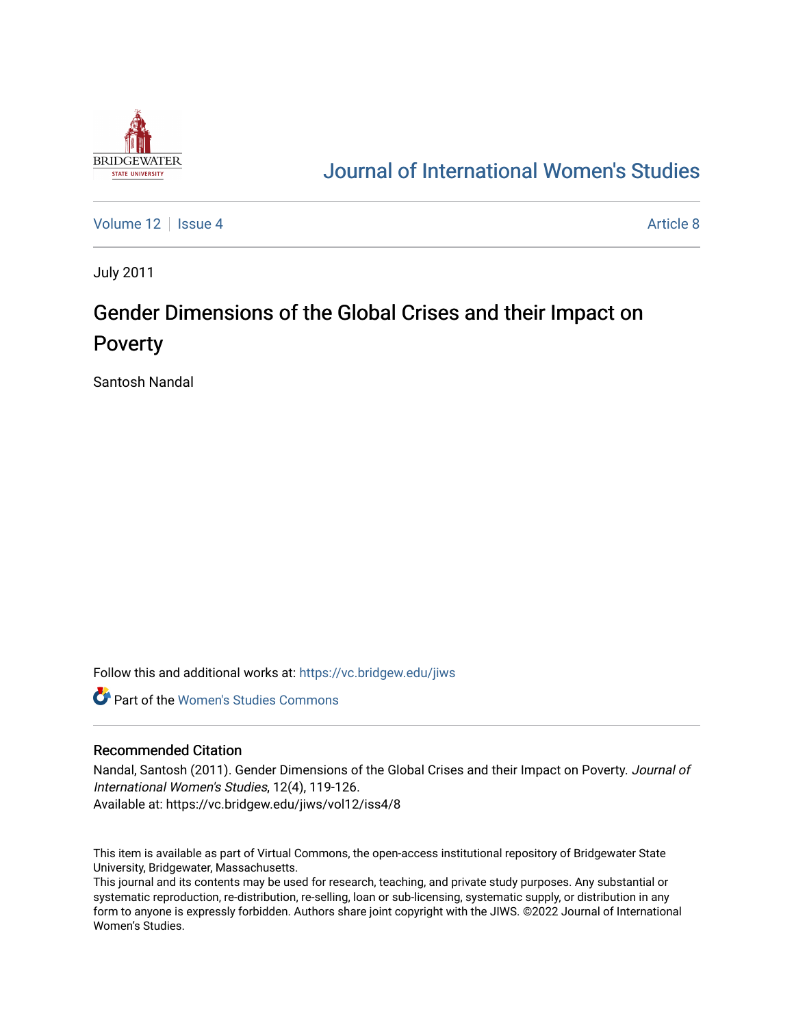

# [Journal of International Women's Studies](https://vc.bridgew.edu/jiws)

[Volume 12](https://vc.bridgew.edu/jiws/vol12) Setup 4 [Article 8](https://vc.bridgew.edu/jiws/vol12/iss4/8) Article 8 Article 8 Article 8

July 2011

# Gender Dimensions of the Global Crises and their Impact on Poverty

Santosh Nandal

Follow this and additional works at: [https://vc.bridgew.edu/jiws](https://vc.bridgew.edu/jiws?utm_source=vc.bridgew.edu%2Fjiws%2Fvol12%2Fiss4%2F8&utm_medium=PDF&utm_campaign=PDFCoverPages)

**C** Part of the Women's Studies Commons

#### Recommended Citation

Nandal, Santosh (2011). Gender Dimensions of the Global Crises and their Impact on Poverty. Journal of International Women's Studies, 12(4), 119-126. Available at: https://vc.bridgew.edu/jiws/vol12/iss4/8

This item is available as part of Virtual Commons, the open-access institutional repository of Bridgewater State University, Bridgewater, Massachusetts.

This journal and its contents may be used for research, teaching, and private study purposes. Any substantial or systematic reproduction, re-distribution, re-selling, loan or sub-licensing, systematic supply, or distribution in any form to anyone is expressly forbidden. Authors share joint copyright with the JIWS. ©2022 Journal of International Women's Studies.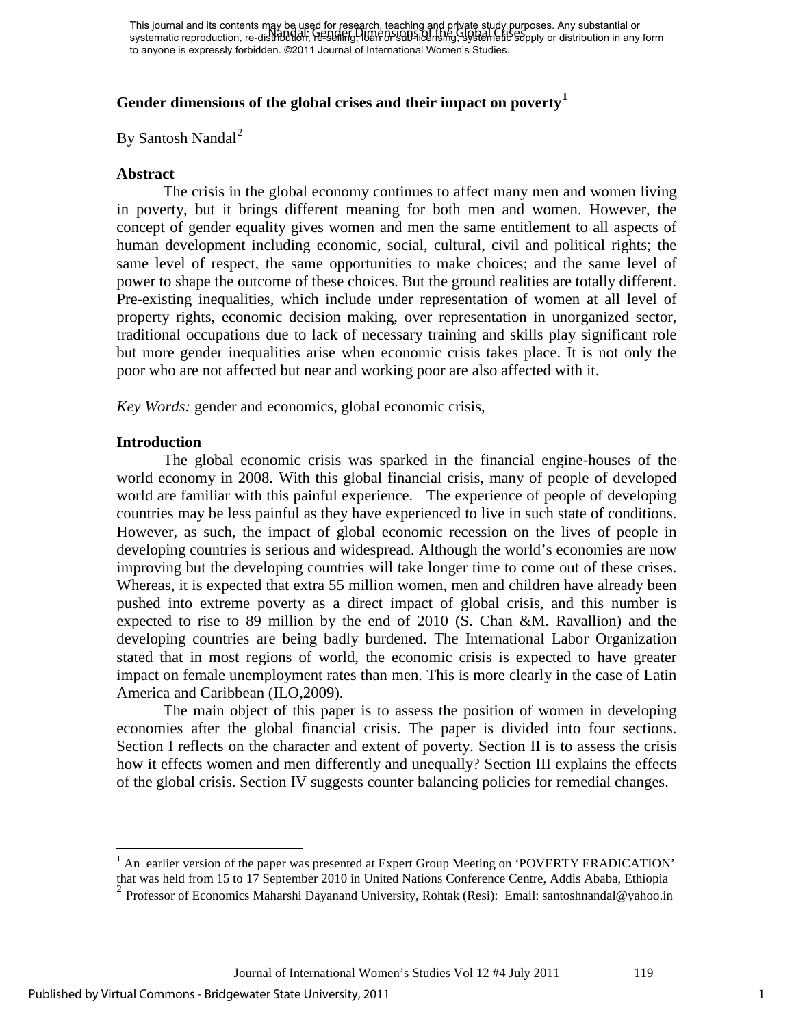# **Gender dimensions of the global crises and their impact on poverty[1](#page-1-0)**

By Santosh Nandal<sup>[2](#page-1-1)</sup>

#### **Abstract**

The crisis in the global economy continues to affect many men and women living in poverty, but it brings different meaning for both men and women. However, the concept of gender equality gives women and men the same entitlement to all aspects of human development including economic, social, cultural, civil and political rights; the same level of respect, the same opportunities to make choices; and the same level of power to shape the outcome of these choices. But the ground realities are totally different. Pre-existing inequalities, which include under representation of women at all level of property rights, economic decision making, over representation in unorganized sector, traditional occupations due to lack of necessary training and skills play significant role but more gender inequalities arise when economic crisis takes place. It is not only the poor who are not affected but near and working poor are also affected with it.

*Key Words:* gender and economics, global economic crisis,

#### **Introduction**

The global economic crisis was sparked in the financial engine-houses of the world economy in 2008. With this global financial crisis, many of people of developed world are familiar with this painful experience. The experience of people of developing countries may be less painful as they have experienced to live in such state of conditions. However, as such, the impact of global economic recession on the lives of people in developing countries is serious and widespread. Although the world's economies are now improving but the developing countries will take longer time to come out of these crises. Whereas, it is expected that extra 55 million women, men and children have already been pushed into extreme poverty as a direct impact of global crisis, and this number is expected to rise to 89 million by the end of 2010 (S. Chan &M. Ravallion) and the developing countries are being badly burdened. The International Labor Organization stated that in most regions of world, the economic crisis is expected to have greater impact on female unemployment rates than men. This is more clearly in the case of Latin America and Caribbean (ILO,2009).

The main object of this paper is to assess the position of women in developing economies after the global financial crisis. The paper is divided into four sections. Section I reflects on the character and extent of poverty. Section II is to assess the crisis how it effects women and men differently and unequally? Section III explains the effects of the global crisis. Section IV suggests counter balancing policies for remedial changes.

<span id="page-1-0"></span> $\overline{a}$  $<sup>1</sup>$  An earlier version of the paper was presented at Expert Group Meeting on 'POVERTY ERADICATION'</sup>

that was held from 15 to 17 September 2010 in United Nations Conference Centre, Addis Ababa, Ethiopia

<span id="page-1-1"></span><sup>&</sup>lt;sup>2</sup> Professor of Economics Maharshi Dayanand University, Rohtak (Resi): Email: santoshnandal@yahoo.in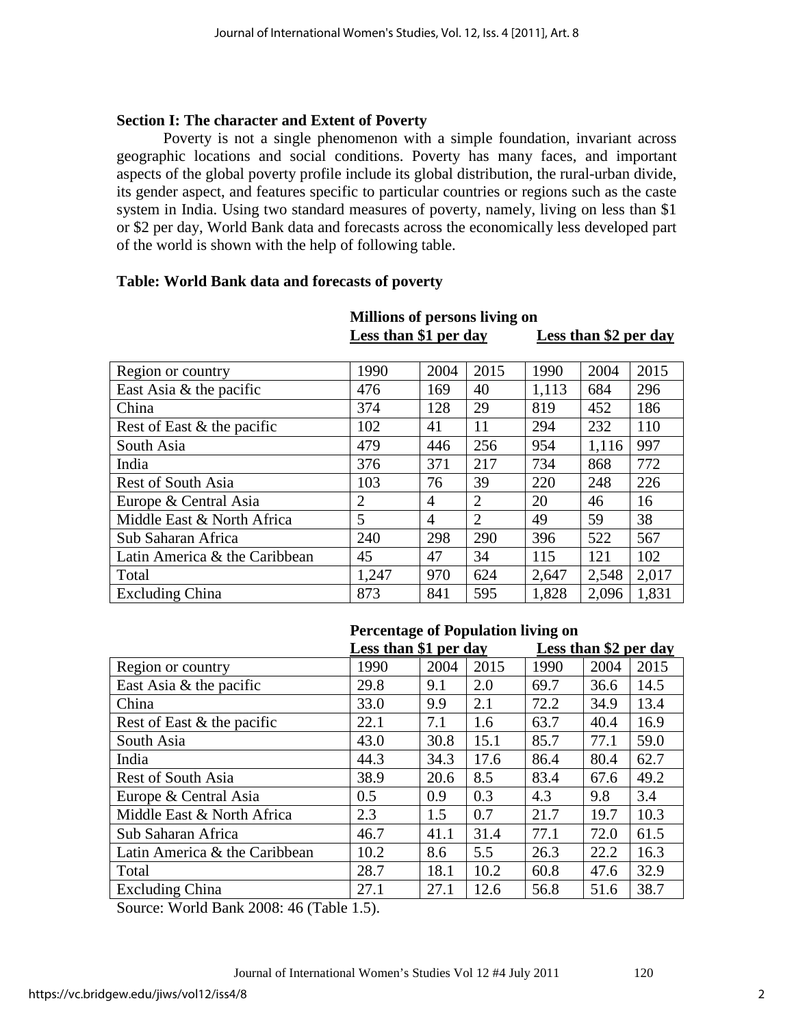# **Section I: The character and Extent of Poverty**

Poverty is not a single phenomenon with a simple foundation, invariant across geographic locations and social conditions. Poverty has many faces, and important aspects of the global poverty profile include its global distribution, the rural-urban divide, its gender aspect, and features specific to particular countries or regions such as the caste system in India. Using two standard measures of poverty, namely, living on less than \$1 or \$2 per day, World Bank data and forecasts across the economically less developed part of the world is shown with the help of following table.

# **Table: World Bank data and forecasts of poverty**

| Region or country             | 1990           | 2004           | 2015           | 1990  | 2004  | 2015  |
|-------------------------------|----------------|----------------|----------------|-------|-------|-------|
| East Asia & the pacific       | 476            | 169            | 40             | 1,113 | 684   | 296   |
| China                         | 374            | 128            | 29             | 819   | 452   | 186   |
| Rest of East & the pacific    | 102            | 41             | 11             | 294   | 232   | 110   |
| South Asia                    | 479            | 446            | 256            | 954   | 1,116 | 997   |
| India                         | 376            | 371            | 217            | 734   | 868   | 772   |
| <b>Rest of South Asia</b>     | 103            | 76             | 39             | 220   | 248   | 226   |
| Europe & Central Asia         | $\overline{2}$ | $\overline{4}$ | $\overline{2}$ | 20    | 46    | 16    |
| Middle East & North Africa    | 5              | $\overline{4}$ | $\overline{2}$ | 49    | 59    | 38    |
| Sub Saharan Africa            | 240            | 298            | 290            | 396   | 522   | 567   |
| Latin America & the Caribbean | 45             | 47             | 34             | 115   | 121   | 102   |
| Total                         | 1,247          | 970            | 624            | 2,647 | 2,548 | 2,017 |
| <b>Excluding China</b>        | 873            | 841            | 595            | 1,828 | 2,096 | 1,831 |

# **Millions of persons living on**

Less than \$2 per day

# **Percentage of Population living on**

|                               | Less than \$1 per day |      |      | Less than \$2 per day |      |      |  |
|-------------------------------|-----------------------|------|------|-----------------------|------|------|--|
| Region or country             | 1990                  | 2004 | 2015 | 1990                  | 2004 | 2015 |  |
| East Asia & the pacific       | 29.8                  | 9.1  | 2.0  | 69.7                  | 36.6 | 14.5 |  |
| China                         | 33.0                  | 9.9  | 2.1  | 72.2                  | 34.9 | 13.4 |  |
| Rest of East & the pacific    | 22.1                  | 7.1  | 1.6  | 63.7                  | 40.4 | 16.9 |  |
| South Asia                    | 43.0                  | 30.8 | 15.1 | 85.7                  | 77.1 | 59.0 |  |
| India                         | 44.3                  | 34.3 | 17.6 | 86.4                  | 80.4 | 62.7 |  |
| <b>Rest of South Asia</b>     | 38.9                  | 20.6 | 8.5  | 83.4                  | 67.6 | 49.2 |  |
| Europe & Central Asia         | 0.5                   | 0.9  | 0.3  | 4.3                   | 9.8  | 3.4  |  |
| Middle East & North Africa    | 2.3                   | 1.5  | 0.7  | 21.7                  | 19.7 | 10.3 |  |
| Sub Saharan Africa            | 46.7                  | 41.1 | 31.4 | 77.1                  | 72.0 | 61.5 |  |
| Latin America & the Caribbean | 10.2                  | 8.6  | 5.5  | 26.3                  | 22.2 | 16.3 |  |
| Total                         | 28.7                  | 18.1 | 10.2 | 60.8                  | 47.6 | 32.9 |  |
| <b>Excluding China</b>        | 27.1                  | 27.1 | 12.6 | 56.8                  | 51.6 | 38.7 |  |

Source: World Bank 2008: 46 (Table 1.5).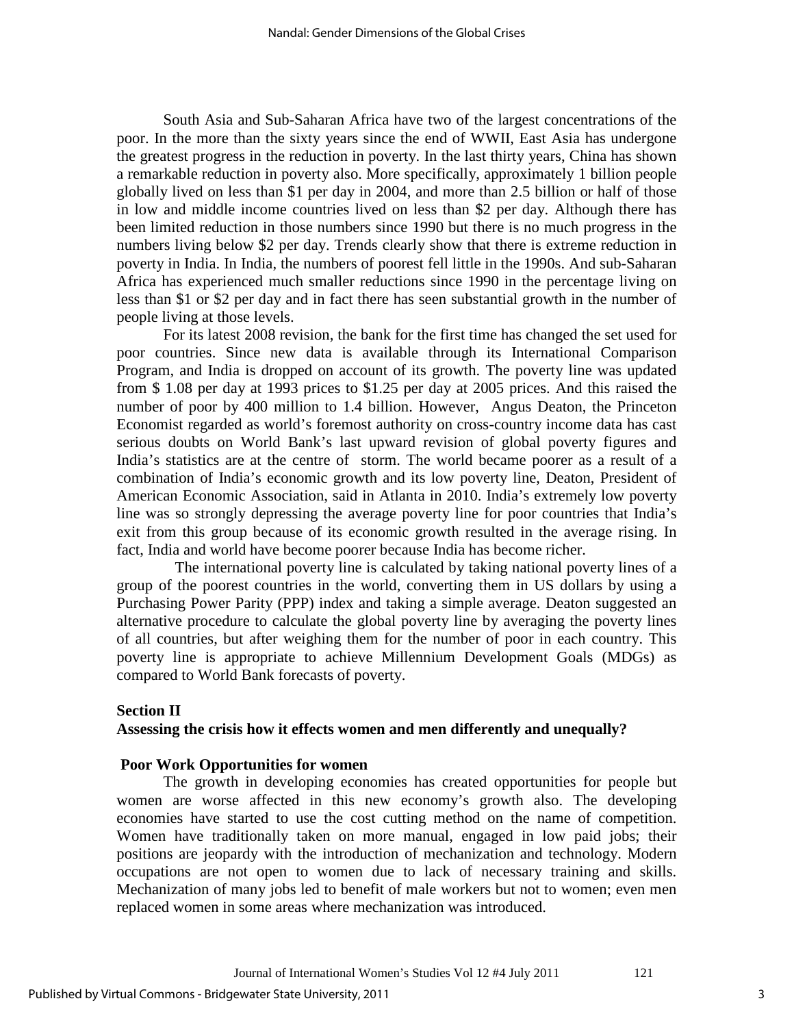South Asia and Sub-Saharan Africa have two of the largest concentrations of the poor. In the more than the sixty years since the end of WWII, East Asia has undergone the greatest progress in the reduction in poverty. In the last thirty years, China has shown a remarkable reduction in poverty also. More specifically, approximately 1 billion people globally lived on less than \$1 per day in 2004, and more than 2.5 billion or half of those in low and middle income countries lived on less than \$2 per day. Although there has been limited reduction in those numbers since 1990 but there is no much progress in the numbers living below \$2 per day. Trends clearly show that there is extreme reduction in poverty in India. In India, the numbers of poorest fell little in the 1990s. And sub-Saharan Africa has experienced much smaller reductions since 1990 in the percentage living on less than \$1 or \$2 per day and in fact there has seen substantial growth in the number of people living at those levels.

For its latest 2008 revision, the bank for the first time has changed the set used for poor countries. Since new data is available through its International Comparison Program, and India is dropped on account of its growth. The poverty line was updated from \$ 1.08 per day at 1993 prices to \$1.25 per day at 2005 prices. And this raised the number of poor by 400 million to 1.4 billion. However, Angus Deaton, the Princeton Economist regarded as world's foremost authority on cross-country income data has cast serious doubts on World Bank's last upward revision of global poverty figures and India's statistics are at the centre of storm. The world became poorer as a result of a combination of India's economic growth and its low poverty line, Deaton, President of American Economic Association, said in Atlanta in 2010. India's extremely low poverty line was so strongly depressing the average poverty line for poor countries that India's exit from this group because of its economic growth resulted in the average rising. In fact, India and world have become poorer because India has become richer.

 The international poverty line is calculated by taking national poverty lines of a group of the poorest countries in the world, converting them in US dollars by using a Purchasing Power Parity (PPP) index and taking a simple average. Deaton suggested an alternative procedure to calculate the global poverty line by averaging the poverty lines of all countries, but after weighing them for the number of poor in each country. This poverty line is appropriate to achieve Millennium Development Goals (MDGs) as compared to World Bank forecasts of poverty.

#### **Section II**

#### **Assessing the crisis how it effects women and men differently and unequally?**

#### **Poor Work Opportunities for women**

The growth in developing economies has created opportunities for people but women are worse affected in this new economy's growth also. The developing economies have started to use the cost cutting method on the name of competition. Women have traditionally taken on more manual, engaged in low paid jobs; their positions are jeopardy with the introduction of mechanization and technology. Modern occupations are not open to women due to lack of necessary training and skills. Mechanization of many jobs led to benefit of male workers but not to women; even men replaced women in some areas where mechanization was introduced.

3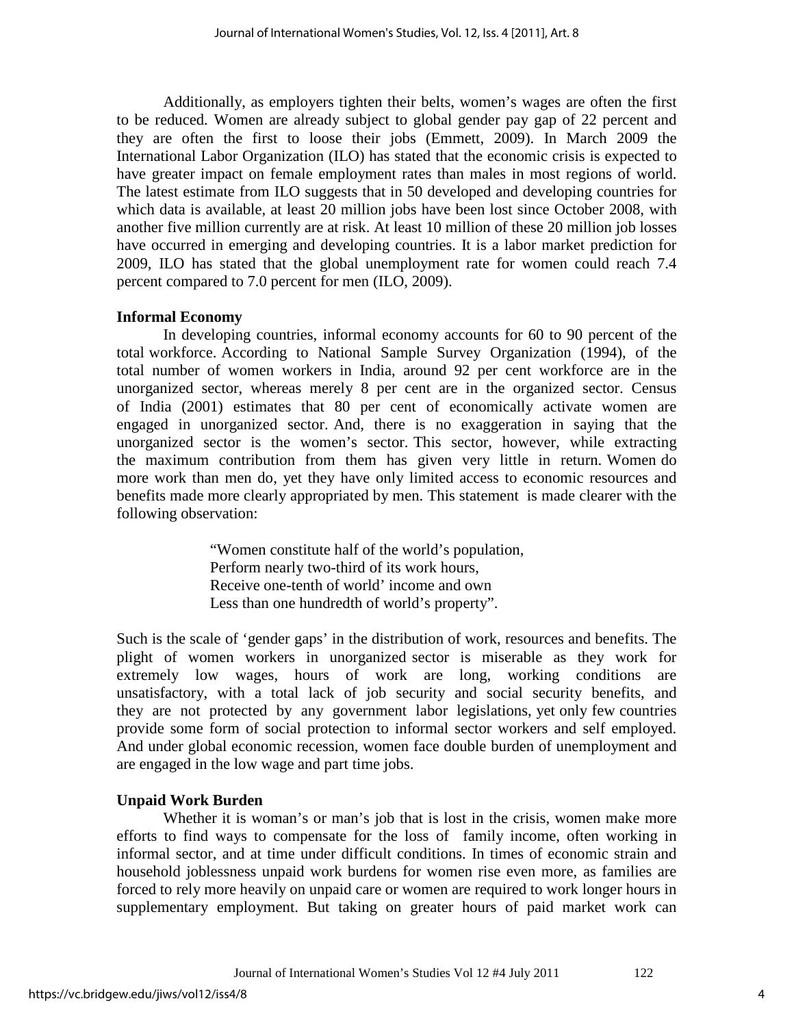Additionally, as employers tighten their belts, women's wages are often the first to be reduced. Women are already subject to global gender pay gap of 22 percent and they are often the first to loose their jobs (Emmett, 2009). In March 2009 the International Labor Organization (ILO) has stated that the economic crisis is expected to have greater impact on female employment rates than males in most regions of world. The latest estimate from ILO suggests that in 50 developed and developing countries for which data is available, at least 20 million jobs have been lost since October 2008, with another five million currently are at risk. At least 10 million of these 20 million job losses have occurred in emerging and developing countries. It is a labor market prediction for 2009, ILO has stated that the global unemployment rate for women could reach 7.4 percent compared to 7.0 percent for men (ILO, 2009).

# **Informal Economy**

In developing countries, informal economy accounts for 60 to 90 percent of the total workforce. According to National Sample Survey Organization (1994), of the total number of women workers in India, around 92 per cent workforce are in the unorganized sector, whereas merely 8 per cent are in the organized sector. Census of India (2001) estimates that 80 per cent of economically activate women are engaged in unorganized sector. And, there is no exaggeration in saying that the unorganized sector is the women's sector. This sector, however, while extracting the maximum contribution from them has given very little in return. Women do more work than men do, yet they have only limited access to economic resources and benefits made more clearly appropriated by men. This statement is made clearer with the following observation:

> "Women constitute half of the world's population, Perform nearly two-third of its work hours, Receive one-tenth of world' income and own Less than one hundredth of world's property".

Such is the scale of 'gender gaps' in the distribution of work, resources and benefits. The plight of women workers in unorganized sector is miserable as they work for extremely low wages, hours of work are long, working conditions are unsatisfactory, with a total lack of job security and social security benefits, and they are not protected by any government labor legislations, yet only few countries provide some form of social protection to informal sector workers and self employed. And under global economic recession, women face double burden of unemployment and are engaged in the low wage and part time jobs.

# **Unpaid Work Burden**

Whether it is woman's or man's job that is lost in the crisis, women make more efforts to find ways to compensate for the loss of family income, often working in informal sector, and at time under difficult conditions. In times of economic strain and household joblessness unpaid work burdens for women rise even more, as families are forced to rely more heavily on unpaid care or women are required to work longer hours in supplementary employment. But taking on greater hours of paid market work can

4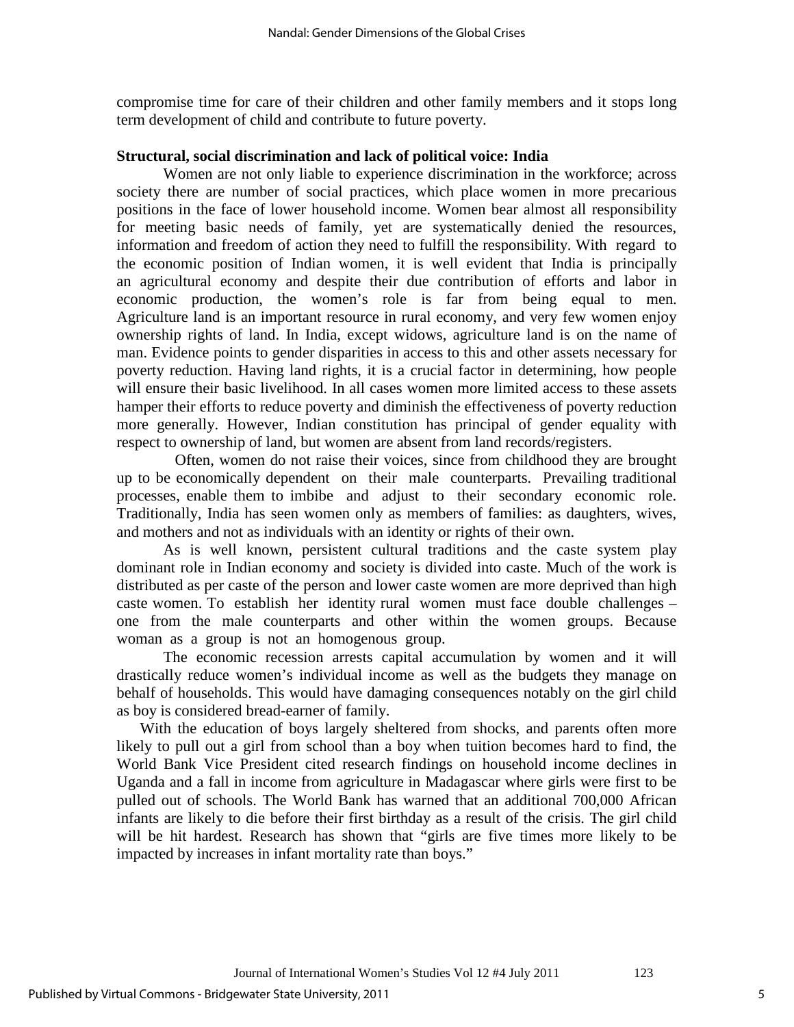compromise time for care of their children and other family members and it stops long term development of child and contribute to future poverty.

#### **Structural, social discrimination and lack of political voice: India**

Women are not only liable to experience discrimination in the workforce; across society there are number of social practices, which place women in more precarious positions in the face of lower household income. Women bear almost all responsibility for meeting basic needs of family, yet are systematically denied the resources, information and freedom of action they need to fulfill the responsibility. With regard to the economic position of Indian women, it is well evident that India is principally an agricultural economy and despite their due contribution of efforts and labor in economic production, the women's role is far from being equal to men. Agriculture land is an important resource in rural economy, and very few women enjoy ownership rights of land. In India, except widows, agriculture land is on the name of man. Evidence points to gender disparities in access to this and other assets necessary for poverty reduction. Having land rights, it is a crucial factor in determining, how people will ensure their basic livelihood. In all cases women more limited access to these assets hamper their efforts to reduce poverty and diminish the effectiveness of poverty reduction more generally. However, Indian constitution has principal of gender equality with respect to ownership of land, but women are absent from land records/registers.

 Often, women do not raise their voices, since from childhood they are brought up to be economically dependent on their male counterparts. Prevailing traditional processes, enable them to imbibe and adjust to their secondary economic role. Traditionally, India has seen women only as members of families: as daughters, wives, and mothers and not as individuals with an identity or rights of their own.

As is well known, persistent cultural traditions and the caste system play dominant role in Indian economy and society is divided into caste. Much of the work is distributed as per caste of the person and lower caste women are more deprived than high caste women. To establish her identity rural women must face double challenges – one from the male counterparts and other within the women groups. Because woman as a group is not an homogenous group.

The economic recession arrests capital accumulation by women and it will drastically reduce women's individual income as well as the budgets they manage on behalf of households. This would have damaging consequences notably on the girl child as boy is considered bread-earner of family.

With the education of boys largely sheltered from shocks, and parents often more likely to pull out a girl from school than a boy when tuition becomes hard to find, the World Bank Vice President cited research findings on household income declines in Uganda and a fall in income from agriculture in Madagascar where girls were first to be pulled out of schools. The World Bank has warned that an additional 700,000 African infants are likely to die before their first birthday as a result of the crisis. The girl child will be hit hardest. Research has shown that "girls are five times more likely to be impacted by increases in infant mortality rate than boys."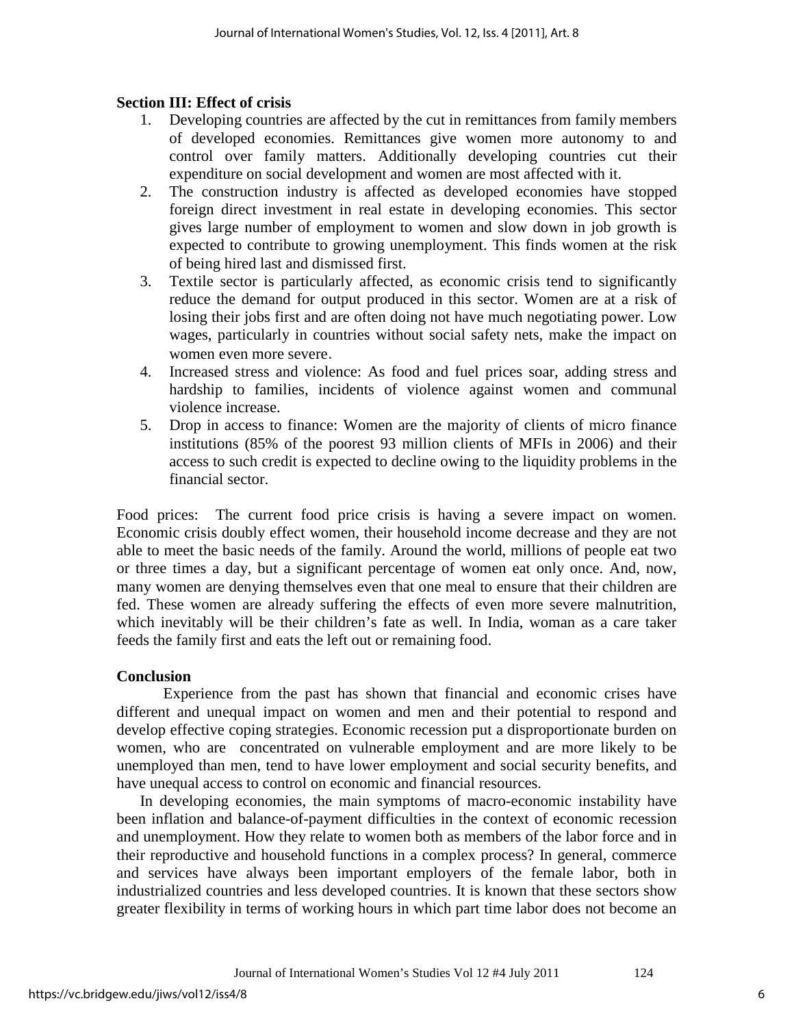# **Section III: Effect of crisis**

- 1. Developing countries are affected by the cut in remittances from family members of developed economies. Remittances give women more autonomy to and control over family matters. Additionally developing countries cut their expenditure on social development and women are most affected with it.
- 2. The construction industry is affected as developed economies have stopped foreign direct investment in real estate in developing economies. This sector gives large number of employment to women and slow down in job growth is expected to contribute to growing unemployment. This finds women at the risk of being hired last and dismissed first.
- 3. Textile sector is particularly affected, as economic crisis tend to significantly reduce the demand for output produced in this sector. Women are at a risk of losing their jobs first and are often doing not have much negotiating power. Low wages, particularly in countries without social safety nets, make the impact on women even more severe.
- 4. Increased stress and violence: As food and fuel prices soar, adding stress and hardship to families, incidents of violence against women and communal violence increase.
- 5. Drop in access to finance: Women are the majority of clients of micro finance institutions (85% of the poorest 93 million clients of MFIs in 2006) and their access to such credit is expected to decline owing to the liquidity problems in the financial sector.

Food prices: The current food price crisis is having a severe impact on women. Economic crisis doubly effect women, their household income decrease and they are not able to meet the basic needs of the family. Around the world, millions of people eat two or three times a day, but a significant percentage of women eat only once. And, now, many women are denying themselves even that one meal to ensure that their children are fed. These women are already suffering the effects of even more severe malnutrition, which inevitably will be their children's fate as well. In India, woman as a care taker feeds the family first and eats the left out or remaining food.

# **Conclusion**

Experience from the past has shown that financial and economic crises have different and unequal impact on women and men and their potential to respond and develop effective coping strategies. Economic recession put a disproportionate burden on women, who are concentrated on vulnerable employment and are more likely to be unemployed than men, tend to have lower employment and social security benefits, and have unequal access to control on economic and financial resources.

In developing economies, the main symptoms of macro-economic instability have been inflation and balance-of-payment difficulties in the context of economic recession and unemployment. How they relate to women both as members of the labor force and in their reproductive and household functions in a complex process? In general, commerce and services have always been important employers of the female labor, both in industrialized countries and less developed countries. It is known that these sectors show greater flexibility in terms of working hours in which part time labor does not become an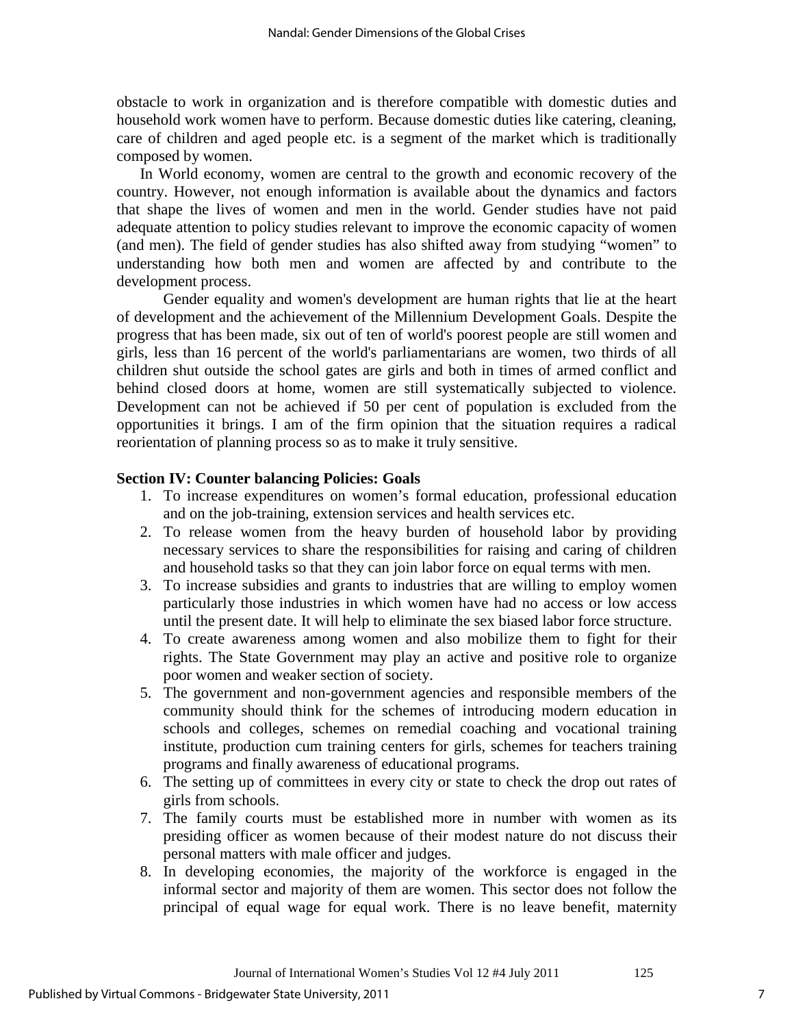obstacle to work in organization and is therefore compatible with domestic duties and household work women have to perform. Because domestic duties like catering, cleaning, care of children and aged people etc. is a segment of the market which is traditionally composed by women.

In World economy, women are central to the growth and economic recovery of the country. However, not enough information is available about the dynamics and factors that shape the lives of women and men in the world. Gender studies have not paid adequate attention to policy studies relevant to improve the economic capacity of women (and men). The field of gender studies has also shifted away from studying "women" to understanding how both men and women are affected by and contribute to the development process.

Gender equality and women's development are human rights that lie at the heart of development and the achievement of the Millennium Development Goals. Despite the progress that has been made, six out of ten of world's poorest people are still women and girls, less than 16 percent of the world's parliamentarians are women, two thirds of all children shut outside the school gates are girls and both in times of armed conflict and behind closed doors at home, women are still systematically subjected to violence. Development can not be achieved if 50 per cent of population is excluded from the opportunities it brings. I am of the firm opinion that the situation requires a radical reorientation of planning process so as to make it truly sensitive.

#### **Section IV: Counter balancing Policies: Goals**

- 1. To increase expenditures on women's formal education, professional education and on the job-training, extension services and health services etc.
- 2. To release women from the heavy burden of household labor by providing necessary services to share the responsibilities for raising and caring of children and household tasks so that they can join labor force on equal terms with men.
- 3. To increase subsidies and grants to industries that are willing to employ women particularly those industries in which women have had no access or low access until the present date. It will help to eliminate the sex biased labor force structure.
- 4. To create awareness among women and also mobilize them to fight for their rights. The State Government may play an active and positive role to organize poor women and weaker section of society.
- 5. The government and non-government agencies and responsible members of the community should think for the schemes of introducing modern education in schools and colleges, schemes on remedial coaching and vocational training institute, production cum training centers for girls, schemes for teachers training programs and finally awareness of educational programs.
- 6. The setting up of committees in every city or state to check the drop out rates of girls from schools.
- 7. The family courts must be established more in number with women as its presiding officer as women because of their modest nature do not discuss their personal matters with male officer and judges.
- 8. In developing economies, the majority of the workforce is engaged in the informal sector and majority of them are women. This sector does not follow the principal of equal wage for equal work. There is no leave benefit, maternity